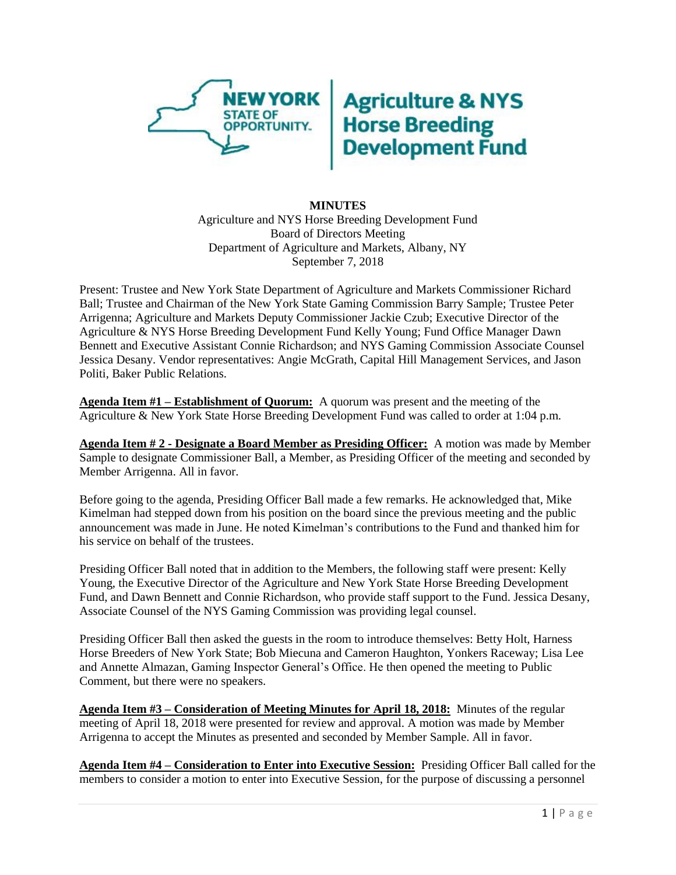

## **Agriculture & NYS<br>Horse Breeding<br>Development Fund**

## **MINUTES** Agriculture and NYS Horse Breeding Development Fund Board of Directors Meeting Department of Agriculture and Markets, Albany, NY September 7, 2018

Present: Trustee and New York State Department of Agriculture and Markets Commissioner Richard Ball; Trustee and Chairman of the New York State Gaming Commission Barry Sample; Trustee Peter Arrigenna; Agriculture and Markets Deputy Commissioner Jackie Czub; Executive Director of the Agriculture & NYS Horse Breeding Development Fund Kelly Young; Fund Office Manager Dawn Bennett and Executive Assistant Connie Richardson; and NYS Gaming Commission Associate Counsel Jessica Desany. Vendor representatives: Angie McGrath, Capital Hill Management Services, and Jason Politi, Baker Public Relations.

**Agenda Item #1 – Establishment of Quorum:** A quorum was present and the meeting of the Agriculture & New York State Horse Breeding Development Fund was called to order at 1:04 p.m.

**Agenda Item # 2 - Designate a Board Member as Presiding Officer:** A motion was made by Member Sample to designate Commissioner Ball, a Member, as Presiding Officer of the meeting and seconded by Member Arrigenna. All in favor.

Before going to the agenda, Presiding Officer Ball made a few remarks. He acknowledged that, Mike Kimelman had stepped down from his position on the board since the previous meeting and the public announcement was made in June. He noted Kimelman's contributions to the Fund and thanked him for his service on behalf of the trustees.

Presiding Officer Ball noted that in addition to the Members, the following staff were present: Kelly Young, the Executive Director of the Agriculture and New York State Horse Breeding Development Fund, and Dawn Bennett and Connie Richardson, who provide staff support to the Fund. Jessica Desany, Associate Counsel of the NYS Gaming Commission was providing legal counsel.

Presiding Officer Ball then asked the guests in the room to introduce themselves: Betty Holt, Harness Horse Breeders of New York State; Bob Miecuna and Cameron Haughton, Yonkers Raceway; Lisa Lee and Annette Almazan, Gaming Inspector General's Office. He then opened the meeting to Public Comment, but there were no speakers.

**Agenda Item #3 – Consideration of Meeting Minutes for April 18, 2018:** Minutes of the regular meeting of April 18, 2018 were presented for review and approval. A motion was made by Member Arrigenna to accept the Minutes as presented and seconded by Member Sample. All in favor.

**Agenda Item #4 – Consideration to Enter into Executive Session:** Presiding Officer Ball called for the members to consider a motion to enter into Executive Session, for the purpose of discussing a personnel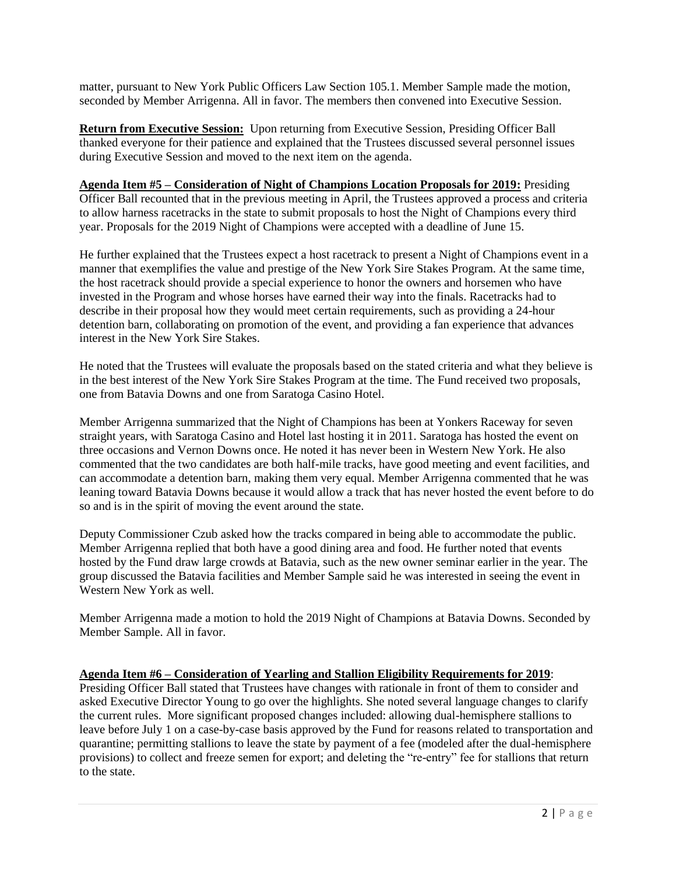matter, pursuant to New York Public Officers Law Section 105.1. Member Sample made the motion, seconded by Member Arrigenna. All in favor. The members then convened into Executive Session.

**Return from Executive Session:** Upon returning from Executive Session, Presiding Officer Ball thanked everyone for their patience and explained that the Trustees discussed several personnel issues during Executive Session and moved to the next item on the agenda.

**Agenda Item #5 – Consideration of Night of Champions Location Proposals for 2019:** Presiding Officer Ball recounted that in the previous meeting in April, the Trustees approved a process and criteria to allow harness racetracks in the state to submit proposals to host the Night of Champions every third year. Proposals for the 2019 Night of Champions were accepted with a deadline of June 15.

He further explained that the Trustees expect a host racetrack to present a Night of Champions event in a manner that exemplifies the value and prestige of the New York Sire Stakes Program. At the same time, the host racetrack should provide a special experience to honor the owners and horsemen who have invested in the Program and whose horses have earned their way into the finals. Racetracks had to describe in their proposal how they would meet certain requirements, such as providing a 24-hour detention barn, collaborating on promotion of the event, and providing a fan experience that advances interest in the New York Sire Stakes.

He noted that the Trustees will evaluate the proposals based on the stated criteria and what they believe is in the best interest of the New York Sire Stakes Program at the time. The Fund received two proposals, one from Batavia Downs and one from Saratoga Casino Hotel.

Member Arrigenna summarized that the Night of Champions has been at Yonkers Raceway for seven straight years, with Saratoga Casino and Hotel last hosting it in 2011. Saratoga has hosted the event on three occasions and Vernon Downs once. He noted it has never been in Western New York. He also commented that the two candidates are both half-mile tracks, have good meeting and event facilities, and can accommodate a detention barn, making them very equal. Member Arrigenna commented that he was leaning toward Batavia Downs because it would allow a track that has never hosted the event before to do so and is in the spirit of moving the event around the state.

Deputy Commissioner Czub asked how the tracks compared in being able to accommodate the public. Member Arrigenna replied that both have a good dining area and food. He further noted that events hosted by the Fund draw large crowds at Batavia, such as the new owner seminar earlier in the year. The group discussed the Batavia facilities and Member Sample said he was interested in seeing the event in Western New York as well.

Member Arrigenna made a motion to hold the 2019 Night of Champions at Batavia Downs. Seconded by Member Sample. All in favor.

## **Agenda Item #6 – Consideration of Yearling and Stallion Eligibility Requirements for 2019**:

Presiding Officer Ball stated that Trustees have changes with rationale in front of them to consider and asked Executive Director Young to go over the highlights. She noted several language changes to clarify the current rules. More significant proposed changes included: allowing dual-hemisphere stallions to leave before July 1 on a case-by-case basis approved by the Fund for reasons related to transportation and quarantine; permitting stallions to leave the state by payment of a fee (modeled after the dual-hemisphere provisions) to collect and freeze semen for export; and deleting the "re-entry" fee for stallions that return to the state.